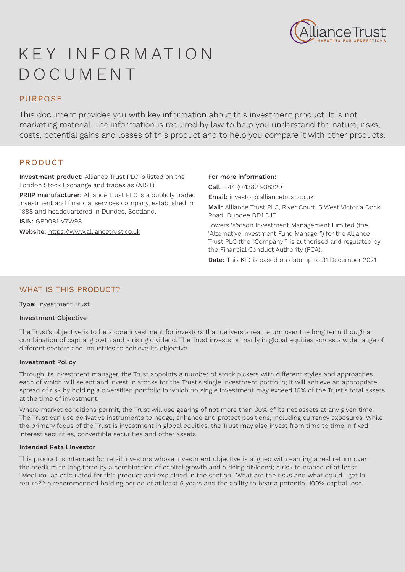

# K E Y I N F O R M AT I O N DOCUMENT

# PURPOSE

This document provides you with key information about this investment product. It is not marketing material. The information is required by law to help you understand the nature, risks, costs, potential gains and losses of this product and to help you compare it with other products.

# PRODUCT

Investment product: Alliance Trust PLC is listed on the London Stock Exchange and trades as (ATST).

PRIIP manufacturer: Alliance Trust PLC is a publicly traded investment and financial services company, established in 1888 and headquartered in Dundee, Scotland.

ISIN: GB00B11V7W98

Website: https://www.alliancetrust.co.uk

## For more information:

Call: +44 (0)1382 938320 Email: investor@alliancetrust.co.uk

Mail: Alliance Trust PLC, River Court, 5 West Victoria Dock Road, Dundee DD1 3JT

Towers Watson Investment Management Limited (the "Alternative Investment Fund Manager") for the Alliance Trust PLC (the "Company") is authorised and regulated by the Financial Conduct Authority (FCA).

Date: This KID is based on data up to 31 December 2021.

# WHAT IS THIS PRODUCT?

Type: Investment Trust

## Investment Objective

The Trust's objective is to be a core investment for investors that delivers a real return over the long term though a combination of capital growth and a rising dividend. The Trust invests primarily in global equities across a wide range of different sectors and industries to achieve its objective.

## Investment Policy

Through its investment manager, the Trust appoints a number of stock pickers with different styles and approaches each of which will select and invest in stocks for the Trust's single investment portfolio; it will achieve an appropriate spread of risk by holding a diversified portfolio in which no single investment may exceed 10% of the Trust's total assets at the time of investment.

Where market conditions permit, the Trust will use gearing of not more than 30% of its net assets at any given time. The Trust can use derivative instruments to hedge, enhance and protect positions, including currency exposures. While the primary focus of the Trust is investment in global equities, the Trust may also invest from time to time in fixed interest securities, convertible securities and other assets.

## Intended Retail Investor

This product is intended for retail investors whose investment objective is aligned with earning a real return over the medium to long term by a combination of capital growth and a rising dividend; a risk tolerance of at least "Medium" as calculated for this product and explained in the section "What are the risks and what could I get in return?"; a recommended holding period of at least 5 years and the ability to bear a potential 100% capital loss.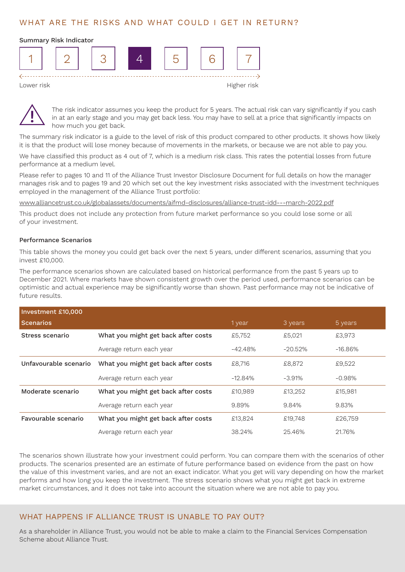# WHAT ARE THE RISKS AND WHAT COULD I GET IN RETURN?

#### Summary Risk Indicator





The risk indicator assumes you keep the product for 5 years. The actual risk can vary significantly if you cash in at an early stage and you may get back less. You may have to sell at a price that significantly impacts on how much you get back.

The summary risk indicator is a guide to the level of risk of this product compared to other products. It shows how likely it is that the product will lose money because of movements in the markets, or because we are not able to pay you.

We have classified this product as 4 out of 7, which is a medium risk class. This rates the potential losses from future performance at a medium level.

Please refer to pages 10 and 11 of the Alliance Trust Investor Disclosure Document for full details on how the manager manages risk and to pages 19 and 20 which set out the key investment risks associated with the investment techniques employed in the management of the Alliance Trust portfolio:

www.alliancetrust.co.uk/globalassets/documents/aifmd-disclosures/alliance-trust-idd---march-2022.pdf

This product does not include any protection from future market performance so you could lose some or all of your investment.

#### Performance Scenarios

This table shows the money you could get back over the next 5 years, under different scenarios, assuming that you invest £10,000.

The performance scenarios shown are calculated based on historical performance from the past 5 years up to December 2021. Where markets have shown consistent growth over the period used, performance scenarios can be optimistic and actual experience may be significantly worse than shown. Past performance may not be indicative of future results.

| Investment £10,000                                       |                                     |           |            |            |  |  |
|----------------------------------------------------------|-------------------------------------|-----------|------------|------------|--|--|
| <b>Scenarios</b>                                         |                                     | 1 year    | 3 years    | 5 years    |  |  |
| Stress scenario                                          | What you might get back after costs | £5,752    | £5,021     | £3,973     |  |  |
|                                                          | Average return each year            | $-42.48%$ | $-20.52\%$ | $-16.86\%$ |  |  |
| Unfavourable scenario                                    | What you might get back after costs | £8.716    | £8,872     | £9,522     |  |  |
|                                                          | Average return each year            | $-12.84%$ | $-3.91%$   | $-0.98\%$  |  |  |
| Moderate scenario<br>What you might get back after costs |                                     | £10,989   | £13,252    | £15,981    |  |  |
|                                                          | Average return each year            | 9.89%     | 9.84%      | 9.83%      |  |  |
| Favourable scenario                                      | What you might get back after costs | £13,824   | £19,748    | £26,759    |  |  |
|                                                          | Average return each year            | 38.24%    | 25.46%     | 21.76%     |  |  |

The scenarios shown illustrate how your investment could perform. You can compare them with the scenarios of other products. The scenarios presented are an estimate of future performance based on evidence from the past on how the value of this investment varies, and are not an exact indicator. What you get will vary depending on how the market performs and how long you keep the investment. The stress scenario shows what you might get back in extreme market circumstances, and it does not take into account the situation where we are not able to pay you.

# WHAT HAPPENS IF ALLIANCE TRUST IS UNABLE TO PAY OUT?

As a shareholder in Alliance Trust, you would not be able to make a claim to the Financial Services Compensation Scheme about Alliance Trust.